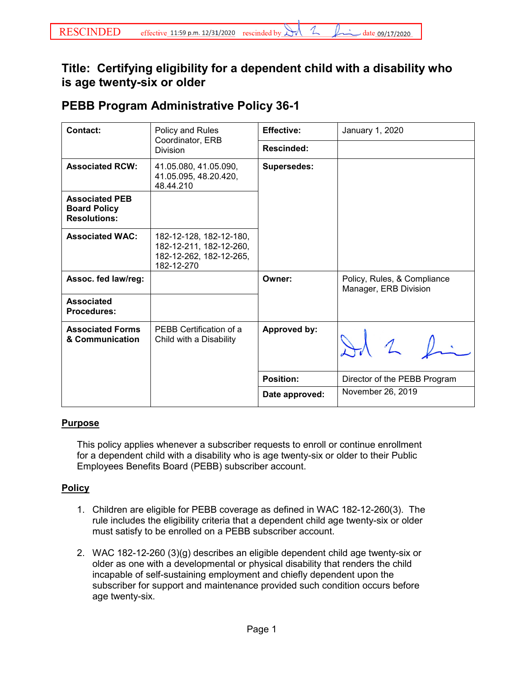## **Title: Certifying eligibility for a dependent child with a disability who is age twenty-six or older**

## **PEBB Program Administrative Policy 36-1**

| Contact:                                                            | Policy and Rules<br>Coordinator, ERB<br><b>Division</b>                                     | <b>Effective:</b>  | January 1, 2020                                      |
|---------------------------------------------------------------------|---------------------------------------------------------------------------------------------|--------------------|------------------------------------------------------|
|                                                                     |                                                                                             | Rescinded:         |                                                      |
| <b>Associated RCW:</b>                                              | 41.05.080, 41.05.090,<br>41.05.095, 48.20.420,<br>48.44.210                                 | <b>Supersedes:</b> |                                                      |
| <b>Associated PEB</b><br><b>Board Policy</b><br><b>Resolutions:</b> |                                                                                             |                    |                                                      |
| <b>Associated WAC:</b>                                              | 182-12-128, 182-12-180,<br>182-12-211, 182-12-260,<br>182-12-262, 182-12-265,<br>182-12-270 |                    |                                                      |
| Assoc. fed law/reg:                                                 |                                                                                             | Owner:             | Policy, Rules, & Compliance<br>Manager, ERB Division |
| <b>Associated</b><br><b>Procedures:</b>                             |                                                                                             |                    |                                                      |
| <b>Associated Forms</b><br>& Communication                          | PEBB Certification of a<br>Child with a Disability                                          | Approved by:       |                                                      |
|                                                                     |                                                                                             | <b>Position:</b>   | Director of the PEBB Program                         |
|                                                                     |                                                                                             | Date approved:     | November 26, 2019                                    |

## **Purpose**

This policy applies whenever a subscriber requests to enroll or continue enrollment for a dependent child with a disability who is age twenty-six or older to their Public Employees Benefits Board (PEBB) subscriber account.

## **Policy**

- 1. Children are eligible for PEBB coverage as defined in WAC 182-12-260(3). The rule includes the eligibility criteria that a dependent child age twenty-six or older must satisfy to be enrolled on a PEBB subscriber account.
- 2. WAC 182-12-260 (3)(g) describes an eligible dependent child age twenty-six or older as one with a developmental or physical disability that renders the child incapable of self-sustaining employment and chiefly dependent upon the subscriber for support and maintenance provided such condition occurs before age twenty-six.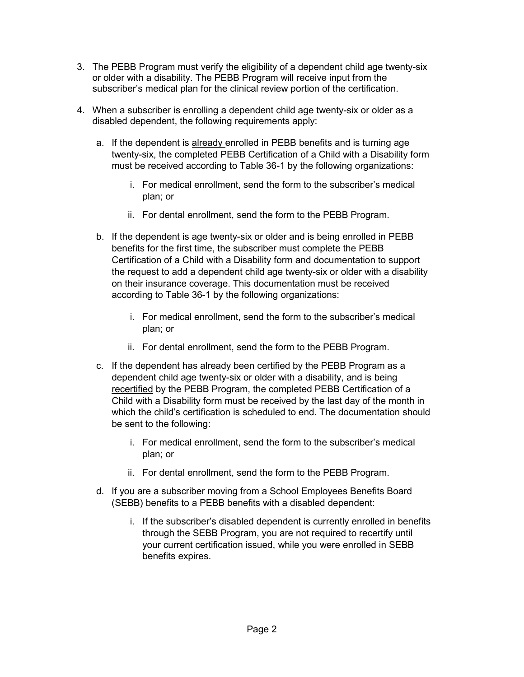- 3. The PEBB Program must verify the eligibility of a dependent child age twenty-six or older with a disability. The PEBB Program will receive input from the subscriber's medical plan for the clinical review portion of the certification.
- 4. When a subscriber is enrolling a dependent child age twenty-six or older as a disabled dependent, the following requirements apply:
	- a. If the dependent is already enrolled in PEBB benefits and is turning age twenty-six, the completed PEBB Certification of a Child with a Disability form must be received according to Table 36-1 by the following organizations:
		- i. For medical enrollment, send the form to the subscriber's medical plan; or
		- ii. For dental enrollment, send the form to the PEBB Program.
	- b. If the dependent is age twenty-six or older and is being enrolled in PEBB benefits for the first time, the subscriber must complete the PEBB Certification of a Child with a Disability form and documentation to support the request to add a dependent child age twenty-six or older with a disability on their insurance coverage. This documentation must be received according to Table 36-1 by the following organizations:
		- i. For medical enrollment, send the form to the subscriber's medical plan; or
		- ii. For dental enrollment, send the form to the PEBB Program.
	- c. If the dependent has already been certified by the PEBB Program as a dependent child age twenty-six or older with a disability, and is being recertified by the PEBB Program, the completed PEBB Certification of a Child with a Disability form must be received by the last day of the month in which the child's certification is scheduled to end. The documentation should be sent to the following:
		- i. For medical enrollment, send the form to the subscriber's medical plan; or
		- ii. For dental enrollment, send the form to the PEBB Program.
	- d. If you are a subscriber moving from a School Employees Benefits Board (SEBB) benefits to a PEBB benefits with a disabled dependent:
		- i. If the subscriber's disabled dependent is currently enrolled in benefits through the SEBB Program, you are not required to recertify until your current certification issued, while you were enrolled in SEBB benefits expires.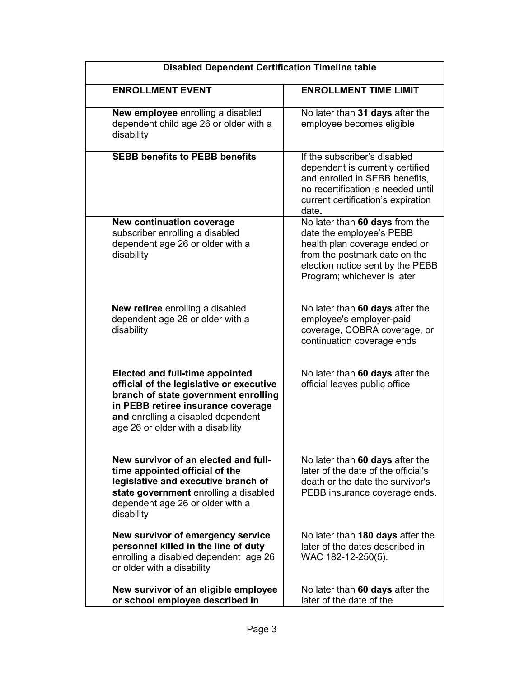| <b>Disabled Dependent Certification Timeline table</b>                                                                                                                                                                                      |                                                                                                                                                                                                 |  |  |
|---------------------------------------------------------------------------------------------------------------------------------------------------------------------------------------------------------------------------------------------|-------------------------------------------------------------------------------------------------------------------------------------------------------------------------------------------------|--|--|
| <b>ENROLLMENT EVENT</b>                                                                                                                                                                                                                     | <b>ENROLLMENT TIME LIMIT</b>                                                                                                                                                                    |  |  |
| New employee enrolling a disabled<br>dependent child age 26 or older with a<br>disability                                                                                                                                                   | No later than 31 days after the<br>employee becomes eligible                                                                                                                                    |  |  |
| <b>SEBB benefits to PEBB benefits</b>                                                                                                                                                                                                       | If the subscriber's disabled<br>dependent is currently certified<br>and enrolled in SEBB benefits,<br>no recertification is needed until<br>current certification's expiration<br>date.         |  |  |
| <b>New continuation coverage</b><br>subscriber enrolling a disabled<br>dependent age 26 or older with a<br>disability                                                                                                                       | No later than 60 days from the<br>date the employee's PEBB<br>health plan coverage ended or<br>from the postmark date on the<br>election notice sent by the PEBB<br>Program; whichever is later |  |  |
| <b>New retiree</b> enrolling a disabled<br>dependent age 26 or older with a<br>disability                                                                                                                                                   | No later than 60 days after the<br>employee's employer-paid<br>coverage, COBRA coverage, or<br>continuation coverage ends                                                                       |  |  |
| <b>Elected and full-time appointed</b><br>official of the legislative or executive<br>branch of state government enrolling<br>in PEBB retiree insurance coverage<br>and enrolling a disabled dependent<br>age 26 or older with a disability | No later than 60 days after the<br>official leaves public office                                                                                                                                |  |  |
| New survivor of an elected and full-<br>time appointed official of the<br>legislative and executive branch of<br>state government enrolling a disabled<br>dependent age 26 or older with a<br>disability                                    | No later than 60 days after the<br>later of the date of the official's<br>death or the date the survivor's<br>PEBB insurance coverage ends.                                                     |  |  |
| New survivor of emergency service<br>personnel killed in the line of duty<br>enrolling a disabled dependent age 26<br>or older with a disability                                                                                            | No later than 180 days after the<br>later of the dates described in<br>WAC 182-12-250(5).                                                                                                       |  |  |
| New survivor of an eligible employee<br>or school employee described in                                                                                                                                                                     | No later than 60 days after the<br>later of the date of the                                                                                                                                     |  |  |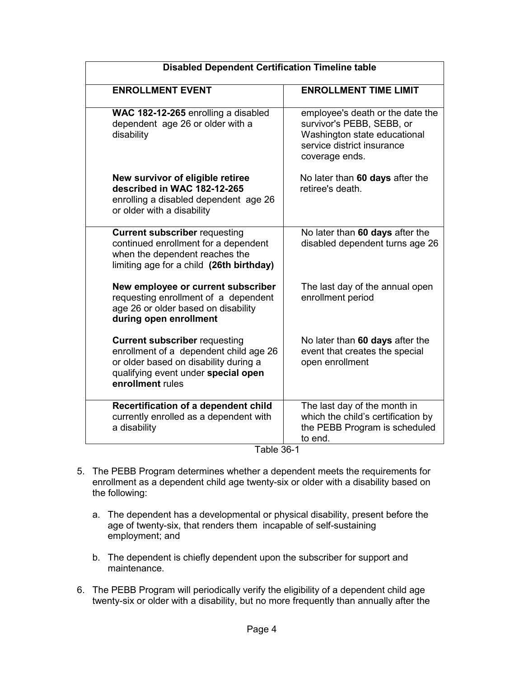| <b>Disabled Dependent Certification Timeline table</b>                                                                                                                             |                                                                                                                                               |  |  |
|------------------------------------------------------------------------------------------------------------------------------------------------------------------------------------|-----------------------------------------------------------------------------------------------------------------------------------------------|--|--|
| <b>ENROLLMENT EVENT</b>                                                                                                                                                            | <b>ENROLLMENT TIME LIMIT</b>                                                                                                                  |  |  |
| WAC 182-12-265 enrolling a disabled<br>dependent age 26 or older with a<br>disability                                                                                              | employee's death or the date the<br>survivor's PEBB, SEBB, or<br>Washington state educational<br>service district insurance<br>coverage ends. |  |  |
| New survivor of eligible retiree<br>described in WAC 182-12-265<br>enrolling a disabled dependent age 26<br>or older with a disability                                             | No later than 60 days after the<br>retiree's death.                                                                                           |  |  |
| <b>Current subscriber requesting</b><br>continued enrollment for a dependent<br>when the dependent reaches the<br>limiting age for a child (26th birthday)                         | No later than 60 days after the<br>disabled dependent turns age 26                                                                            |  |  |
| New employee or current subscriber<br>requesting enrollment of a dependent<br>age 26 or older based on disability<br>during open enrollment                                        | The last day of the annual open<br>enrollment period                                                                                          |  |  |
| <b>Current subscriber requesting</b><br>enrollment of a dependent child age 26<br>or older based on disability during a<br>qualifying event under special open<br>enrollment rules | No later than 60 days after the<br>event that creates the special<br>open enrollment                                                          |  |  |
| Recertification of a dependent child<br>currently enrolled as a dependent with<br>a disability                                                                                     | The last day of the month in<br>which the child's certification by<br>the PEBB Program is scheduled<br>to end.                                |  |  |

- Table 36-1
- 5. The PEBB Program determines whether a dependent meets the requirements for enrollment as a dependent child age twenty-six or older with a disability based on the following:
	- a. The dependent has a developmental or physical disability, present before the age of twenty-six, that renders them incapable of self-sustaining employment; and
	- b. The dependent is chiefly dependent upon the subscriber for support and maintenance.
- 6. The PEBB Program will periodically verify the eligibility of a dependent child age twenty-six or older with a disability, but no more frequently than annually after the